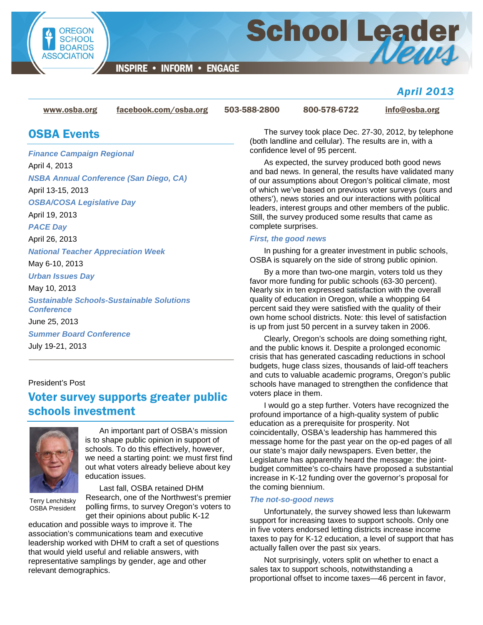

School Leader

**INSPIRE • INFORM • ENGAGE** 

### *April 2013*

[www.osba.org](http://www.osba.org/) [facebook.com/osba.org](http://www.facebook.com/osba.org) 503-588-2800 800-578-6722 [info@osba.org](mailto:info@osba.org)

## OSBA Events

*Finance Campaign Regional* April 4, 2013 *NSBA Annual Conference (San Diego, CA)* April 13-15, 2013 *OSBA/COSA Legislative Day* April 19, 2013 *PACE Day* April 26, 2013 *National Teacher Appreciation Week* May 6-10, 2013 *Urban Issues Day* May 10, 2013 *Sustainable Schools-Sustainable Solutions Conference* June 25, 2013 *Summer Board Conference* July 19-21, 2013

#### President's Post

# Voter survey supports greater public schools investment



An important part of OSBA's mission is to shape public opinion in support of schools. To do this effectively, however, we need a starting point: we must first find out what voters already believe about key education issues.

Terry Lenchitsky OSBA President

Last fall, OSBA retained DHM Research, one of the Northwest's premier polling firms, to survey Oregon's voters to get their opinions about public K-12

education and possible ways to improve it. The association's communications team and executive leadership worked with DHM to craft a set of questions that would yield useful and reliable answers, with representative samplings by gender, age and other relevant demographics.

The survey took place Dec. 27-30, 2012, by telephone (both landline and cellular). The results are in, with a confidence level of 95 percent.

As expected, the survey produced both good news and bad news. In general, the results have validated many of our assumptions about Oregon's political climate, most of which we've based on previous voter surveys (ours and others'), news stories and our interactions with political leaders, interest groups and other members of the public. Still, the survey produced some results that came as complete surprises.

#### *First, the good news*

In pushing for a greater investment in public schools, OSBA is squarely on the side of strong public opinion.

By a more than two-one margin, voters told us they favor more funding for public schools (63-30 percent). Nearly six in ten expressed satisfaction with the overall quality of education in Oregon, while a whopping 64 percent said they were satisfied with the quality of their own home school districts. Note: this level of satisfaction is up from just 50 percent in a survey taken in 2006.

Clearly, Oregon's schools are doing something right, and the public knows it. Despite a prolonged economic crisis that has generated cascading reductions in school budgets, huge class sizes, thousands of laid-off teachers and cuts to valuable academic programs, Oregon's public schools have managed to strengthen the confidence that voters place in them.

I would go a step further. Voters have recognized the profound importance of a high-quality system of public education as a prerequisite for prosperity. Not coincidentally, OSBA's leadership has hammered this message home for the past year on the op-ed pages of all our state's major daily newspapers. Even better, the Legislature has apparently heard the message: the jointbudget committee's co-chairs have proposed a substantial increase in K-12 funding over the governor's proposal for the coming biennium.

#### *The not-so-good news*

Unfortunately, the survey showed less than lukewarm support for increasing taxes to support schools. Only one in five voters endorsed letting districts increase income taxes to pay for K-12 education, a level of support that has actually fallen over the past six years.

Not surprisingly, voters split on whether to enact a sales tax to support schools, notwithstanding a proportional offset to income taxes—46 percent in favor,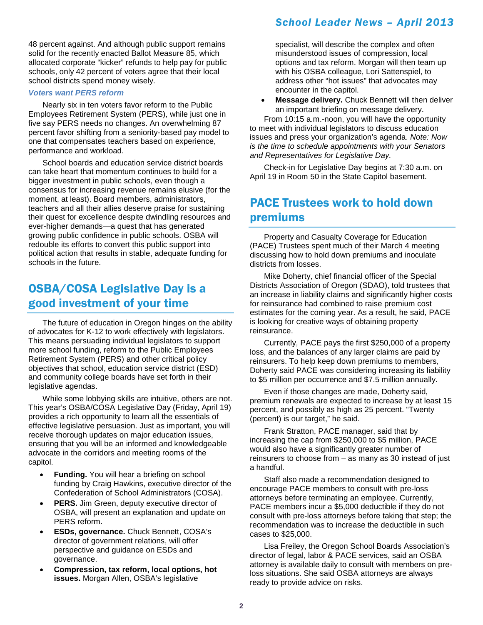48 percent against. And although public support remains solid for the recently enacted Ballot Measure 85, which allocated corporate "kicker" refunds to help pay for public schools, only 42 percent of voters agree that their local school districts spend money wisely.

#### *Voters want PERS reform*

Nearly six in ten voters favor reform to the Public Employees Retirement System (PERS), while just one in five say PERS needs no changes. An overwhelming 87 percent favor shifting from a seniority-based pay model to one that compensates teachers based on experience, performance and workload.

School boards and education service district boards can take heart that momentum continues to build for a bigger investment in public schools, even though a consensus for increasing revenue remains elusive (for the moment, at least). Board members, administrators, teachers and all their allies deserve praise for sustaining their quest for excellence despite dwindling resources and ever-higher demands—a quest that has generated growing public confidence in public schools. OSBA will redouble its efforts to convert this public support into political action that results in stable, adequate funding for schools in the future.

### OSBA/COSA Legislative Day is a good investment of your time

The future of education in Oregon hinges on the ability of advocates for K-12 to work effectively with legislators. This means persuading individual legislators to support more school funding, reform to the Public Employees Retirement System (PERS) and other critical policy objectives that school, education service district (ESD) and community college boards have set forth in their legislative agendas.

While some lobbying skills are intuitive, others are not. This year's OSBA/COSA Legislative Day (Friday, April 19) provides a rich opportunity to learn all the essentials of effective legislative persuasion. Just as important, you will receive thorough updates on major education issues, ensuring that you will be an informed and knowledgeable advocate in the corridors and meeting rooms of the capitol.

- **Funding.** You will hear a briefing on school funding by Craig Hawkins, executive director of the Confederation of School Administrators (COSA).
- **PERS.** Jim Green, deputy executive director of OSBA, will present an explanation and update on PERS reform.
- **ESDs, governance.** Chuck Bennett, COSA's director of government relations, will offer perspective and guidance on ESDs and governance.
- **Compression, tax reform, local options, hot issues.** Morgan Allen, OSBA's legislative

specialist, will describe the complex and often misunderstood issues of compression, local options and tax reform. Morgan will then team up with his OSBA colleague, Lori Sattenspiel, to address other "hot issues" that advocates may encounter in the capitol.

• **Message delivery.** Chuck Bennett will then deliver an important briefing on message delivery.

From 10:15 a.m.-noon, you will have the opportunity to meet with individual legislators to discuss education issues and press your organization's agenda. *Note: Now is the time to schedule appointments with your Senators and Representatives for Legislative Day.*

Check-in for Legislative Day begins at 7:30 a.m. on April 19 in Room 50 in the State Capitol basement.

## PACE Trustees work to hold down premiums

Property and Casualty Coverage for Education (PACE) Trustees spent much of their March 4 meeting discussing how to hold down premiums and inoculate districts from losses.

Mike Doherty, chief financial officer of the Special Districts Association of Oregon (SDAO), told trustees that an increase in liability claims and significantly higher costs for reinsurance had combined to raise premium cost estimates for the coming year. As a result, he said, PACE is looking for creative ways of obtaining property reinsurance.

Currently, PACE pays the first \$250,000 of a property loss, and the balances of any larger claims are paid by reinsurers. To help keep down premiums to members, Doherty said PACE was considering increasing its liability to \$5 million per occurrence and \$7.5 million annually.

Even if those changes are made, Doherty said, premium renewals are expected to increase by at least 15 percent, and possibly as high as 25 percent. "Twenty (percent) is our target," he said.

Frank Stratton, PACE manager, said that by increasing the cap from \$250,000 to \$5 million, PACE would also have a significantly greater number of reinsurers to choose from – as many as 30 instead of just a handful.

Staff also made a recommendation designed to encourage PACE members to consult with pre-loss attorneys before terminating an employee. Currently, PACE members incur a \$5,000 deductible if they do not consult with pre-loss attorneys before taking that step; the recommendation was to increase the deductible in such cases to \$25,000.

Lisa Freiley, the Oregon School Boards Association's director of legal, labor & PACE services, said an OSBA attorney is available daily to consult with members on preloss situations. She said OSBA attorneys are always ready to provide advice on risks.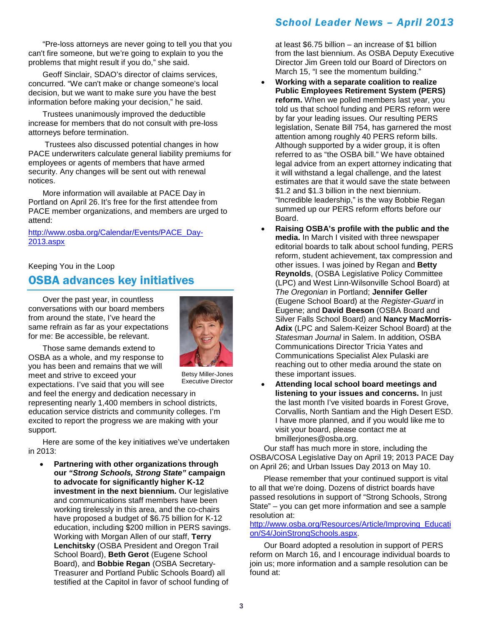"Pre-loss attorneys are never going to tell you that you can't fire someone, but we're going to explain to you the problems that might result if you do," she said.

Geoff Sinclair, SDAO's director of claims services, concurred. "We can't make or change someone's local decision, but we want to make sure you have the best information before making your decision," he said.

Trustees unanimously improved the deductible increase for members that do not consult with pre-loss attorneys before termination.

Trustees also discussed potential changes in how PACE underwriters calculate general liability premiums for employees or agents of members that have armed security. Any changes will be sent out with renewal notices.

More information will available at PACE Day in Portland on April 26. It's free for the first attendee from PACE member organizations, and members are urged to attend:

[http://www.osba.org/Calendar/Events/PACE\\_Day-](http://www.osba.org/Calendar/Events/PACE_Day-2013.aspx)[2013.aspx](http://www.osba.org/Calendar/Events/PACE_Day-2013.aspx)

Keeping You in the Loop

## OSBA advances key initiatives

Over the past year, in countless conversations with our board members from around the state, I've heard the same refrain as far as your expectations for me: Be accessible, be relevant.



Those same demands extend to OSBA as a whole, and my response to you has been and remains that we will meet and strive to exceed your expectations. I've said that you will see

Betsy Miller-Jones Executive Director

and feel the energy and dedication necessary in representing nearly 1,400 members in school districts, education service districts and community colleges. I'm excited to report the progress we are making with your support.

Here are some of the key initiatives we've undertaken in 2013:

• **Partnering with other organizations through our** *"Strong Schools, Strong State"* **campaign to advocate for significantly higher K-12 investment in the next biennium.** Our legislative and communications staff members have been working tirelessly in this area, and the co-chairs have proposed a budget of \$6.75 billion for K-12 education, including \$200 million in PERS savings. Working with Morgan Allen of our staff, **Terry Lenchitsky** (OSBA President and Oregon Trail School Board), **Beth Gerot** (Eugene School Board), and **Bobbie Regan** (OSBA Secretary-Treasurer and Portland Public Schools Board) all testified at the Capitol in favor of school funding of

at least \$6.75 billion – an increase of \$1 billion from the last biennium. As OSBA Deputy Executive Director Jim Green told our Board of Directors on March 15, "I see the momentum building."

- **Working with a separate coalition to realize Public Employees Retirement System (PERS) reform.** When we polled members last year, you told us that school funding and PERS reform were by far your leading issues. Our resulting PERS legislation, Senate Bill 754, has garnered the most attention among roughly 40 PERS reform bills. Although supported by a wider group, it is often referred to as "the OSBA bill." We have obtained legal advice from an expert attorney indicating that it will withstand a legal challenge, and the latest estimates are that it would save the state between \$1.2 and \$1.3 billion in the next biennium. "Incredible leadership," is the way Bobbie Regan summed up our PERS reform efforts before our Board.
- **Raising OSBA's profile with the public and the media.** In March I visited with three newspaper editorial boards to talk about school funding, PERS reform, student achievement, tax compression and other issues. I was joined by Regan and **Betty Reynolds**, (OSBA Legislative Policy Committee (LPC) and West Linn-Wilsonville School Board) at *The Oregonian* in Portland; **Jennifer Geller** (Eugene School Board) at the *Register-Guard* in Eugene; and **David Beeson** (OSBA Board and Silver Falls School Board) and **Nancy MacMorris-Adix** (LPC and Salem-Keizer School Board) at the *Statesman Journal* in Salem. In addition, OSBA Communications Director Tricia Yates and Communications Specialist Alex Pulaski are reaching out to other media around the state on these important issues.
- **Attending local school board meetings and listening to your issues and concerns.** In just the last month I've visited boards in Forest Grove, Corvallis, North Santiam and the High Desert ESD. I have more planned, and if you would like me to visit your board, please contact me at bmillerjones@osba.org.

Our staff has much more in store, including the OSBA/COSA Legislative Day on April 19; 2013 PACE Day on April 26; and Urban Issues Day 2013 on May 10.

Please remember that your continued support is vital to all that we're doing. Dozens of district boards have passed resolutions in support of "Strong Schools, Strong State" – you can get more information and see a sample resolution at:

[http://www.osba.org/Resources/Article/Improving\\_Educati](http://www.osba.org/Resources/Article/Improving_Education/S4/JoinStrongSchools.aspx) [on/S4/JoinStrongSchools.aspx.](http://www.osba.org/Resources/Article/Improving_Education/S4/JoinStrongSchools.aspx)

Our Board adopted a resolution in support of PERS reform on March 16, and I encourage individual boards to join us; more information and a sample resolution can be found at: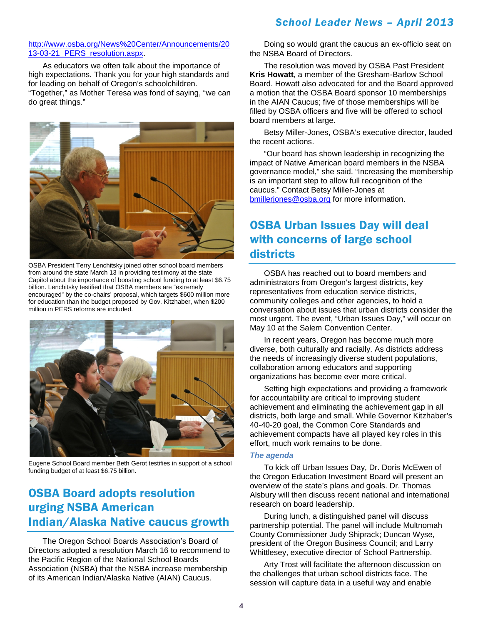#### [http://www.osba.org/News%20Center/Announcements/20](http://www.osba.org/News%20Center/Announcements/2013-03-21_PERS_resolution.aspx) 13-03-21 PERS resolution.aspx.

As educators we often talk about the importance of high expectations. Thank you for your high standards and for leading on behalf of Oregon's schoolchildren. "Together," as Mother Teresa was fond of saying, "we can do great things."



OSBA President Terry Lenchitsky joined other school board members from around the state March 13 in providing testimony at the state Capitol about the importance of boosting school funding to at least \$6.75 billion. Lenchitsky testified that OSBA members are "extremely encouraged" by the co-chairs' proposal, which targets \$600 million more for education than the budget proposed by Gov. Kitzhaber, when \$200 million in PERS reforms are included.



Eugene School Board member Beth Gerot testifies in support of a school funding budget of at least \$6.75 billion.

# OSBA Board adopts resolution urging NSBA American Indian/Alaska Native caucus growth

The Oregon School Boards Association's Board of Directors adopted a resolution March 16 to recommend to the Pacific Region of the National School Boards Association (NSBA) that the NSBA increase membership of its American Indian/Alaska Native (AIAN) Caucus.

Doing so would grant the caucus an ex-officio seat on the NSBA Board of Directors.

The resolution was moved by OSBA Past President **Kris Howatt**, a member of the Gresham-Barlow School Board. Howatt also advocated for and the Board approved a motion that the OSBA Board sponsor 10 memberships in the AIAN Caucus; five of those memberships will be filled by OSBA officers and five will be offered to school board members at large.

Betsy Miller-Jones, OSBA's executive director, lauded the recent actions.

"Our board has shown leadership in recognizing the impact of Native American board members in the NSBA governance model," she said. "Increasing the membership is an important step to allow full recognition of the caucus." Contact Betsy Miller-Jones at [bmillerjones@osba.org](mailto:bmillerjones@osba.org) for more information.

## OSBA Urban Issues Day will deal with concerns of large school districts

OSBA has reached out to board members and administrators from Oregon's largest districts, key representatives from education service districts, community colleges and other agencies, to hold a conversation about issues that urban districts consider the most urgent. The event, "Urban Issues Day," will occur on May 10 at the Salem Convention Center.

In recent years, Oregon has become much more diverse, both culturally and racially. As districts address the needs of increasingly diverse student populations, collaboration among educators and supporting organizations has become ever more critical.

Setting high expectations and providing a framework for accountability are critical to improving student achievement and eliminating the achievement gap in all districts, both large and small. While Governor Kitzhaber's 40-40-20 goal, the Common Core Standards and achievement compacts have all played key roles in this effort, much work remains to be done.

#### *The agenda*

To kick off Urban Issues Day, Dr. Doris McEwen of the Oregon Education Investment Board will present an overview of the state's plans and goals. Dr. Thomas Alsbury will then discuss recent national and international research on board leadership.

During lunch, a distinguished panel will discuss partnership potential. The panel will include Multnomah County Commissioner Judy Shiprack; Duncan Wyse, president of the Oregon Business Council; and Larry Whittlesey, executive director of School Partnership.

Arty Trost will facilitate the afternoon discussion on the challenges that urban school districts face. The session will capture data in a useful way and enable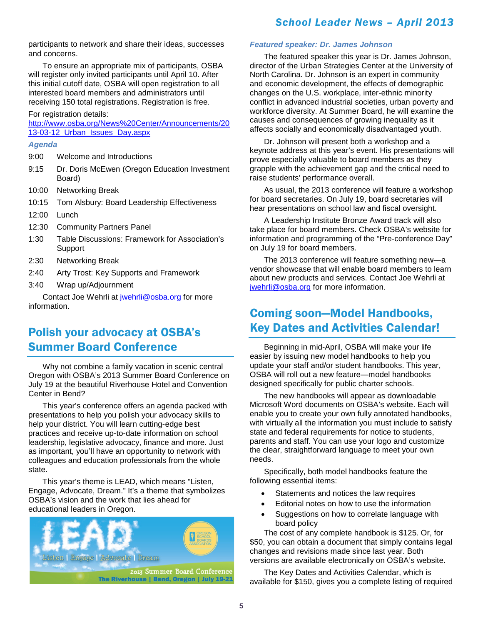participants to network and share their ideas, successes and concerns.

To ensure an appropriate mix of participants, OSBA will register only invited participants until April 10. After this initial cutoff date, OSBA will open registration to all interested board members and administrators until receiving 150 total registrations. Registration is free.

For registration details:

[http://www.osba.org/News%20Center/Announcements/20](http://www.osba.org/News%20Center/Announcements/2013-03-12_Urban_Issues_Day.aspx) [13-03-12\\_Urban\\_Issues\\_Day.aspx](http://www.osba.org/News%20Center/Announcements/2013-03-12_Urban_Issues_Day.aspx)

#### *Agenda*

- 9:00 Welcome and Introductions
- 9:15 Dr. Doris McEwen (Oregon Education Investment Board)
- 10:00 Networking Break
- 10:15 Tom Alsbury: Board Leadership Effectiveness
- 12:00 Lunch
- 12:30 Community Partners Panel
- 1:30 Table Discussions: Framework for Association's Support
- 2:30 Networking Break
- 2:40 Arty Trost: Key Supports and Framework
- 3:40 Wrap up/Adjournment

Contact Joe Wehrli at [jwehrli@osba.org](mailto:jwehrli@osba.org) for more information.

## Polish your advocacy at OSBA's Summer Board Conference

Why not combine a family vacation in scenic central Oregon with OSBA's 2013 Summer Board Conference on July 19 at the beautiful Riverhouse Hotel and Convention Center in Bend?

This year's conference offers an agenda packed with presentations to help you polish your advocacy skills to help your district. You will learn cutting-edge best practices and receive up-to-date information on school leadership, legislative advocacy, finance and more. Just as important, you'll have an opportunity to network with colleagues and education professionals from the whole state.

This year's theme is LEAD, which means "Listen, Engage, Advocate, Dream." It's a theme that symbolizes OSBA's vision and the work that lies ahead for educational leaders in Oregon.



#### *Featured speaker: Dr. James Johnson*

The featured speaker this year is Dr. James Johnson, director of the Urban Strategies Center at the University of North Carolina. Dr. Johnson is an expert in community and economic development, the effects of demographic changes on the U.S. workplace, inter-ethnic minority conflict in advanced industrial societies, urban poverty and workforce diversity. At Summer Board, he will examine the causes and consequences of growing inequality as it affects socially and economically disadvantaged youth.

Dr. Johnson will present both a workshop and a keynote address at this year's event. His presentations will prove especially valuable to board members as they grapple with the achievement gap and the critical need to raise students' performance overall.

As usual, the 2013 conference will feature a workshop for board secretaries. On July 19, board secretaries will hear presentations on school law and fiscal oversight.

A Leadership Institute Bronze Award track will also take place for board members. Check OSBA's website for information and programming of the "Pre-conference Day" on July 19 for board members.

The 2013 conference will feature something new—a vendor showcase that will enable board members to learn about new products and services. Contact Joe Wehrli at [jwehrli@osba.org](mailto:jwehrli@osba.org) for more information.

### Coming soon—Model Handbooks, Key Dates and Activities Calendar!

Beginning in mid-April, OSBA will make your life easier by issuing new model handbooks to help you update your staff and/or student handbooks. This year, OSBA will roll out a new feature—model handbooks designed specifically for public charter schools.

The new handbooks will appear as downloadable Microsoft Word documents on OSBA's website. Each will enable you to create your own fully annotated handbooks, with virtually all the information you must include to satisfy state and federal requirements for notice to students, parents and staff. You can use your logo and customize the clear, straightforward language to meet your own needs.

Specifically, both model handbooks feature the following essential items:

- Statements and notices the law requires
- Editorial notes on how to use the information
- Suggestions on how to correlate language with board policy

The cost of any complete handbook is \$125. Or, for \$50, you can obtain a document that simply contains legal changes and revisions made since last year. Both versions are available electronically on OSBA's website.

The Key Dates and Activities Calendar, which is available for \$150, gives you a complete listing of required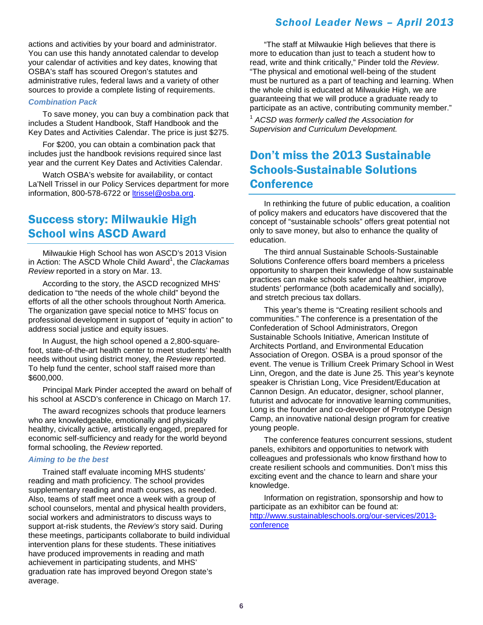actions and activities by your board and administrator. You can use this handy annotated calendar to develop your calendar of activities and key dates, knowing that OSBA's staff has scoured Oregon's statutes and administrative rules, federal laws and a variety of other sources to provide a complete listing of requirements.

#### *Combination Pack*

To save money, you can buy a combination pack that includes a Student Handbook, Staff Handbook and the Key Dates and Activities Calendar. The price is just \$275.

For \$200, you can obtain a combination pack that includes just the handbook revisions required since last year and the current Key Dates and Activities Calendar.

Watch OSBA's website for availability, or contact La'Nell Trissel in our Policy Services department for more information, 800-578-6722 or [ltrissel@osba.org.](mailto:ltrissel@osba.org)

### Success story: Milwaukie High School wins ASCD Award

Milwaukie High School has won ASCD's 2013 Vision in Action: The ASCD Whole Child Award<sup>1</sup>, the *Clackamas Review* reported in a story on Mar. 13.

According to the story, the ASCD recognized MHS' dedication to "the needs of the whole child" beyond the efforts of all the other schools throughout North America. The organization gave special notice to MHS' focus on professional development in support of "equity in action" to address social justice and equity issues.

In August, the high school opened a 2,800-squarefoot, state-of-the-art health center to meet students' health needs without using district money, the *Review* reported. To help fund the center, school staff raised more than \$600,000.

Principal Mark Pinder accepted the award on behalf of his school at ASCD's conference in Chicago on March 17.

The award recognizes schools that produce learners who are knowledgeable, emotionally and physically healthy, civically active, artistically engaged, prepared for economic self-sufficiency and ready for the world beyond formal schooling, the *Review* reported.

#### *Aiming to be the best*

Trained staff evaluate incoming MHS students' reading and math proficiency. The school provides supplementary reading and math courses, as needed. Also, teams of staff meet once a week with a group of school counselors, mental and physical health providers, social workers and administrators to discuss ways to support at-risk students, the *Review's* story said. During these meetings, participants collaborate to build individual intervention plans for these students. These initiatives have produced improvements in reading and math achievement in participating students, and MHS' graduation rate has improved beyond Oregon state's average.

"The staff at Milwaukie High believes that there is more to education than just to teach a student how to read, write and think critically," Pinder told the *Review*. "The physical and emotional well-being of the student must be nurtured as a part of teaching and learning. When the whole child is educated at Milwaukie High, we are guaranteeing that we will produce a graduate ready to participate as an active, contributing community member."

<sup>1</sup> *ACSD was formerly called the Association for Supervision and Curriculum Development.*

## Don't miss the 2013 Sustainable Schools-Sustainable Solutions **Conference**

In rethinking the future of public education, a coalition of policy makers and educators have discovered that the concept of "sustainable schools" offers great potential not only to save money, but also to enhance the quality of education.

The third annual Sustainable Schools-Sustainable Solutions Conference offers board members a priceless opportunity to sharpen their knowledge of how sustainable practices can make schools safer and healthier, improve students' performance (both academically and socially), and stretch precious tax dollars.

This year's theme is "Creating resilient schools and communities." The conference is a presentation of the Confederation of School Administrators, Oregon Sustainable Schools Initiative, American Institute of Architects Portland, and Environmental Education Association of Oregon. OSBA is a proud sponsor of the event. The venue is Trillium Creek Primary School in West Linn, Oregon, and the date is June 25. This year's keynote speaker is Christian Long, Vice President/Education at Cannon Design. An educator, designer, school planner, futurist and advocate for innovative learning communities, Long is the founder and co-developer of Prototype Design Camp, an innovative national design program for creative young people.

The conference features concurrent sessions, student panels, exhibitors and opportunities to network with colleagues and professionals who know firsthand how to create resilient schools and communities. Don't miss this exciting event and the chance to learn and share your knowledge.

Information on registration, sponsorship and how to participate as an exhibitor can be found at: [http://www.sustainableschools.org/our-services/2013](http://www.sustainableschools.org/our-services/2013-conference) [conference](http://www.sustainableschools.org/our-services/2013-conference)